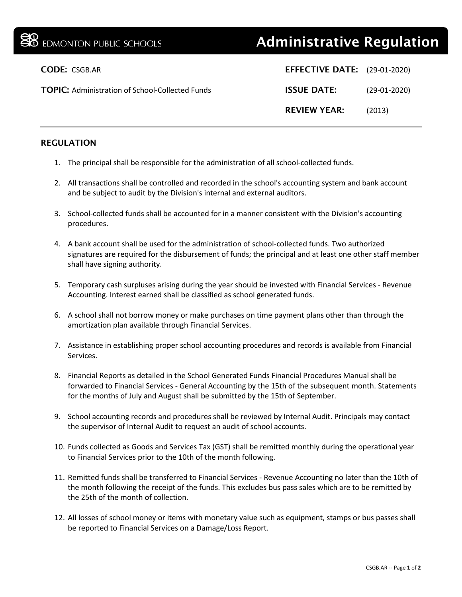## **B** EDMONTON PUBLIC SCHOOLS **Administrative Regulation**

| <b>EFFECTIVE DATE:</b> (29-01-2020) |                |
|-------------------------------------|----------------|
| <b>ISSUE DATE:</b>                  | $(29-01-2020)$ |
| <b>REVIEW YEAR:</b>                 | (2013)         |
|                                     |                |

## REGULATION

- 1. The principal shall be responsible for the administration of all school-collected funds.
- 2. All transactions shall be controlled and recorded in the school's accounting system and bank account and be subject to audit by the Division's internal and external auditors.
- 3. School-collected funds shall be accounted for in a manner consistent with the Division's accounting procedures.
- 4. A bank account shall be used for the administration of school-collected funds. Two authorized signatures are required for the disbursement of funds; the principal and at least one other staff member shall have signing authority.
- 5. Temporary cash surpluses arising during the year should be invested with Financial Services Revenue Accounting. Interest earned shall be classified as school generated funds.
- 6. A school shall not borrow money or make purchases on time payment plans other than through the amortization plan available through Financial Services.
- 7. Assistance in establishing proper school accounting procedures and records is available from Financial Services.
- 8. Financial Reports as detailed in the School Generated Funds Financial Procedures Manual shall be forwarded to Financial Services - General Accounting by the 15th of the subsequent month. Statements for the months of July and August shall be submitted by the 15th of September.
- 9. School accounting records and procedures shall be reviewed by Internal Audit. Principals may contact the supervisor of Internal Audit to request an audit of school accounts.
- 10. Funds collected as Goods and Services Tax (GST) shall be remitted monthly during the operational year to Financial Services prior to the 10th of the month following.
- 11. Remitted funds shall be transferred to Financial Services Revenue Accounting no later than the 10th of the month following the receipt of the funds. This excludes bus pass sales which are to be remitted by the 25th of the month of collection.
- 12. All losses of school money or items with monetary value such as equipment, stamps or bus passes shall be reported to Financial Services on a Damage/Loss Report.